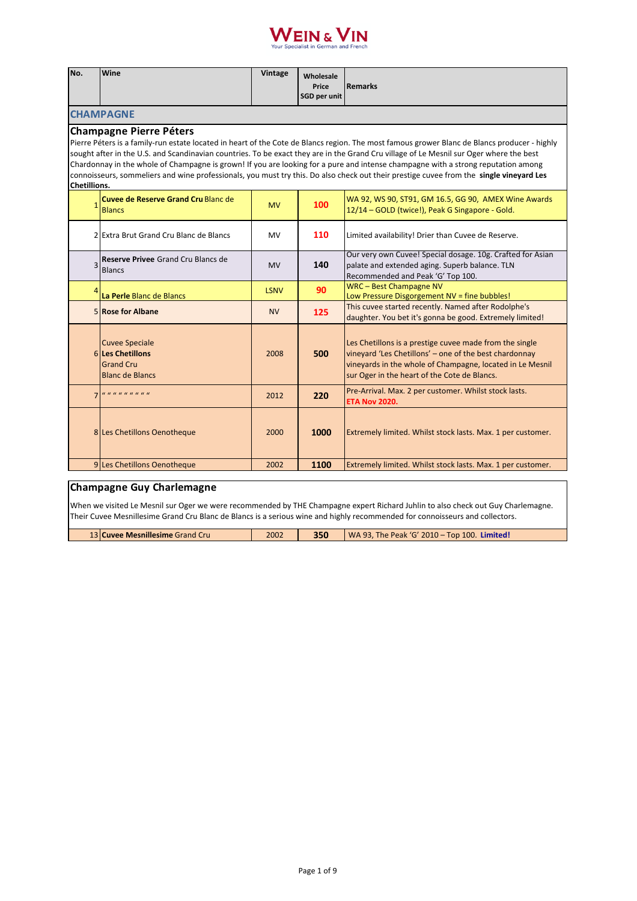

| No.                                                                                                                                                                                                                                                                                                                                                                                                                                                                                                                                                                                                                       | Wine                                                                                    | Vintage     | Wholesale<br>Price<br>SGD per unit | <b>Remarks</b>                                                                                                                                                                                                                 |  |
|---------------------------------------------------------------------------------------------------------------------------------------------------------------------------------------------------------------------------------------------------------------------------------------------------------------------------------------------------------------------------------------------------------------------------------------------------------------------------------------------------------------------------------------------------------------------------------------------------------------------------|-----------------------------------------------------------------------------------------|-------------|------------------------------------|--------------------------------------------------------------------------------------------------------------------------------------------------------------------------------------------------------------------------------|--|
|                                                                                                                                                                                                                                                                                                                                                                                                                                                                                                                                                                                                                           | <b>CHAMPAGNE</b>                                                                        |             |                                    |                                                                                                                                                                                                                                |  |
| <b>Champagne Pierre Péters</b><br>Pierre Péters is a family-run estate located in heart of the Cote de Blancs region. The most famous grower Blanc de Blancs producer - highly<br>sought after in the U.S. and Scandinavian countries. To be exact they are in the Grand Cru village of Le Mesnil sur Oger where the best<br>Chardonnay in the whole of Champagne is grown! If you are looking for a pure and intense champagne with a strong reputation among<br>connoisseurs, sommeliers and wine professionals, you must try this. Do also check out their prestige cuvee from the single vineyard Les<br>Chetillions. |                                                                                         |             |                                    |                                                                                                                                                                                                                                |  |
|                                                                                                                                                                                                                                                                                                                                                                                                                                                                                                                                                                                                                           | Cuvee de Reserve Grand Cru Blanc de<br><b>Blancs</b>                                    | <b>MV</b>   | 100                                | WA 92, WS 90, ST91, GM 16.5, GG 90, AMEX Wine Awards<br>12/14 - GOLD (twice!), Peak G Singapore - Gold.                                                                                                                        |  |
|                                                                                                                                                                                                                                                                                                                                                                                                                                                                                                                                                                                                                           | 2 Extra Brut Grand Cru Blanc de Blancs                                                  | <b>MV</b>   | 110                                | Limited availability! Drier than Cuvee de Reserve.                                                                                                                                                                             |  |
| $\overline{3}$                                                                                                                                                                                                                                                                                                                                                                                                                                                                                                                                                                                                            | Reserve Privee Grand Cru Blancs de<br><b>Blancs</b>                                     | <b>MV</b>   | 140                                | Our very own Cuvee! Special dosage. 10g. Crafted for Asian<br>palate and extended aging. Superb balance. TLN<br>Recommended and Peak 'G' Top 100.                                                                              |  |
|                                                                                                                                                                                                                                                                                                                                                                                                                                                                                                                                                                                                                           | La Perle Blanc de Blancs                                                                | <b>LSNV</b> | 90                                 | WRC - Best Champagne NV<br>Low Pressure Disgorgement NV = fine bubbles!                                                                                                                                                        |  |
|                                                                                                                                                                                                                                                                                                                                                                                                                                                                                                                                                                                                                           | 5 Rose for Albane                                                                       | <b>NV</b>   | 125                                | This cuvee started recently. Named after Rodolphe's<br>daughter. You bet it's gonna be good. Extremely limited!                                                                                                                |  |
|                                                                                                                                                                                                                                                                                                                                                                                                                                                                                                                                                                                                                           | <b>Cuvee Speciale</b><br>6 Les Chetillons<br><b>Grand Cru</b><br><b>Blanc de Blancs</b> | 2008        | 500                                | Les Chetillons is a prestige cuvee made from the single<br>vineyard 'Les Chetillons' - one of the best chardonnay<br>vineyards in the whole of Champagne, located in Le Mesnil<br>sur Oger in the heart of the Cote de Blancs. |  |
| $\overline{7}$                                                                                                                                                                                                                                                                                                                                                                                                                                                                                                                                                                                                            | <i></i>                                                                                 | 2012        | 220                                | Pre-Arrival. Max. 2 per customer. Whilst stock lasts.<br><b>ETA Nov 2020.</b>                                                                                                                                                  |  |
|                                                                                                                                                                                                                                                                                                                                                                                                                                                                                                                                                                                                                           | 8 Les Chetillons Oenotheque                                                             | 2000        | 1000                               | Extremely limited. Whilst stock lasts. Max. 1 per customer.                                                                                                                                                                    |  |
|                                                                                                                                                                                                                                                                                                                                                                                                                                                                                                                                                                                                                           | 9 Les Chetillons Oenotheque                                                             | 2002        | 1100                               | Extremely limited. Whilst stock lasts. Max. 1 per customer.                                                                                                                                                                    |  |

## **Champagne Guy Charlemagne**

When we visited Le Mesnil sur Oger we were recommended by THE Champagne expert Richard Juhlin to also check out Guy Charlemagne. Their Cuvee Mesnillesime Grand Cru Blanc de Blancs is a serious wine and highly recommended for connoisseurs and collectors.

13 **Cuvee Mesnillesime** Grand Cru 2002 **350** WA 93, The Peak 'G' 2010 – Top 100. **Limited!**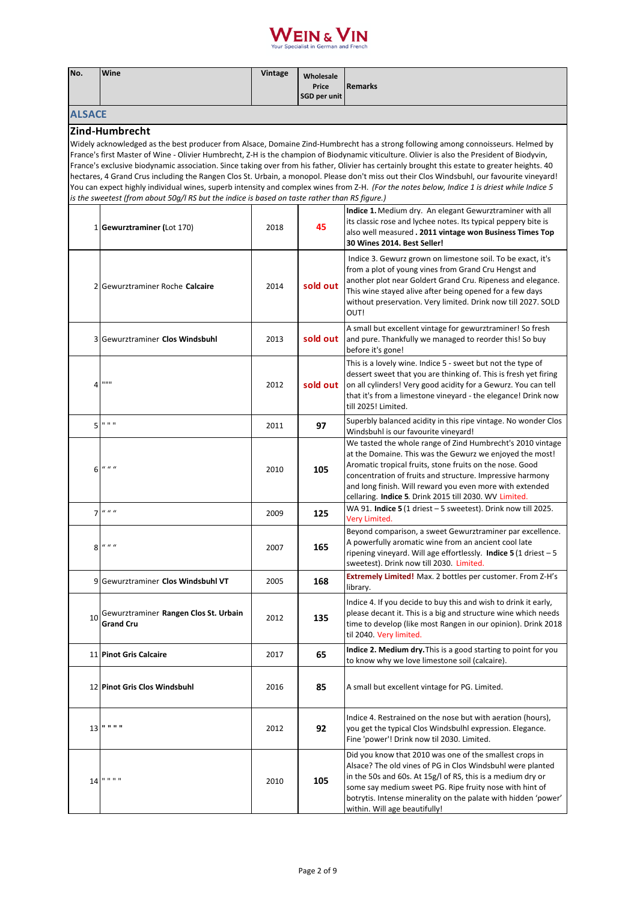

| No.                                                                                                                                                                                                                                                                                                                                                                                                                                                                                                                                                                                                                                                                                                                                                                                                                                                   | Wine                                                      | Vintage | Wholesale<br>Price<br>SGD per unit | <b>Remarks</b>                                                                                                                                                                                                                                                                                                                                                        |  |  |
|-------------------------------------------------------------------------------------------------------------------------------------------------------------------------------------------------------------------------------------------------------------------------------------------------------------------------------------------------------------------------------------------------------------------------------------------------------------------------------------------------------------------------------------------------------------------------------------------------------------------------------------------------------------------------------------------------------------------------------------------------------------------------------------------------------------------------------------------------------|-----------------------------------------------------------|---------|------------------------------------|-----------------------------------------------------------------------------------------------------------------------------------------------------------------------------------------------------------------------------------------------------------------------------------------------------------------------------------------------------------------------|--|--|
| <b>ALSACE</b>                                                                                                                                                                                                                                                                                                                                                                                                                                                                                                                                                                                                                                                                                                                                                                                                                                         |                                                           |         |                                    |                                                                                                                                                                                                                                                                                                                                                                       |  |  |
| Zind-Humbrecht<br>Widely acknowledged as the best producer from Alsace, Domaine Zind-Humbrecht has a strong following among connoisseurs. Helmed by<br>France's first Master of Wine - Olivier Humbrecht, Z-H is the champion of Biodynamic viticulture. Olivier is also the President of Biodyvin,<br>France's exclusive biodynamic association. Since taking over from his father, Olivier has certainly brought this estate to greater heights. 40<br>hectares, 4 Grand Crus including the Rangen Clos St. Urbain, a monopol. Please don't miss out their Clos Windsbuhl, our favourite vineyard!<br>You can expect highly individual wines, superb intensity and complex wines from Z-H. (For the notes below, Indice 1 is driest while Indice 5<br>is the sweetest (from about 50g/l RS but the indice is based on taste rather than RS figure.) |                                                           |         |                                    |                                                                                                                                                                                                                                                                                                                                                                       |  |  |
|                                                                                                                                                                                                                                                                                                                                                                                                                                                                                                                                                                                                                                                                                                                                                                                                                                                       | 1 Gewurztraminer (Lot 170)                                | 2018    | 45                                 | Indice 1. Medium dry. An elegant Gewurztraminer with all<br>its classic rose and lychee notes. Its typical peppery bite is<br>also well measured . 2011 vintage won Business Times Top<br>30 Wines 2014. Best Seller!                                                                                                                                                 |  |  |
|                                                                                                                                                                                                                                                                                                                                                                                                                                                                                                                                                                                                                                                                                                                                                                                                                                                       | 2 Gewurztraminer Roche Calcaire                           | 2014    | sold out                           | Indice 3. Gewurz grown on limestone soil. To be exact, it's<br>from a plot of young vines from Grand Cru Hengst and<br>another plot near Goldert Grand Cru. Ripeness and elegance.<br>This wine stayed alive after being opened for a few days<br>without preservation. Very limited. Drink now till 2027. SOLD<br>OUT!                                               |  |  |
|                                                                                                                                                                                                                                                                                                                                                                                                                                                                                                                                                                                                                                                                                                                                                                                                                                                       | 3 Gewurztraminer Clos Windsbuhl                           | 2013    | sold out                           | A small but excellent vintage for gewurztraminer! So fresh<br>and pure. Thankfully we managed to reorder this! So buy<br>before it's gone!                                                                                                                                                                                                                            |  |  |
| 4                                                                                                                                                                                                                                                                                                                                                                                                                                                                                                                                                                                                                                                                                                                                                                                                                                                     |                                                           | 2012    | sold out                           | This is a lovely wine. Indice 5 - sweet but not the type of<br>dessert sweet that you are thinking of. This is fresh yet firing<br>on all cylinders! Very good acidity for a Gewurz. You can tell<br>that it's from a limestone vineyard - the elegance! Drink now<br>till 2025! Limited.                                                                             |  |  |
| 5                                                                                                                                                                                                                                                                                                                                                                                                                                                                                                                                                                                                                                                                                                                                                                                                                                                     | 0.0.0                                                     | 2011    | 97                                 | Superbly balanced acidity in this ripe vintage. No wonder Clos<br>Windsbuhl is our favourite vineyard!                                                                                                                                                                                                                                                                |  |  |
| 6                                                                                                                                                                                                                                                                                                                                                                                                                                                                                                                                                                                                                                                                                                                                                                                                                                                     | $\boldsymbol{u}$ $\boldsymbol{u}$ $\boldsymbol{u}$        | 2010    | 105                                | We tasted the whole range of Zind Humbrecht's 2010 vintage<br>at the Domaine. This was the Gewurz we enjoyed the most!<br>Aromatic tropical fruits, stone fruits on the nose. Good<br>concentration of fruits and structure. Impressive harmony<br>and long finish. Will reward you even more with extended<br>cellaring. Indice 5. Drink 2015 till 2030. WV Limited. |  |  |
|                                                                                                                                                                                                                                                                                                                                                                                                                                                                                                                                                                                                                                                                                                                                                                                                                                                       | $7$ $u$ $u$ $u$                                           | 2009    | 125                                | WA 91. Indice 5 (1 driest - 5 sweetest). Drink now till 2025.<br>Very Limited.                                                                                                                                                                                                                                                                                        |  |  |
|                                                                                                                                                                                                                                                                                                                                                                                                                                                                                                                                                                                                                                                                                                                                                                                                                                                       | $8$ $\frac{u}{u}$ $\frac{u}{u}$                           | 2007    | 165                                | Beyond comparison, a sweet Gewurztraminer par excellence.<br>A powerfully aromatic wine from an ancient cool late<br>ripening vineyard. Will age effortlessly. Indice $5(1 \text{ direct} - 5)$<br>sweetest). Drink now till 2030. Limited.                                                                                                                           |  |  |
|                                                                                                                                                                                                                                                                                                                                                                                                                                                                                                                                                                                                                                                                                                                                                                                                                                                       | 9 Gewurztraminer Clos Windsbuhl VT                        | 2005    | 168                                | Extremely Limited! Max. 2 bottles per customer. From Z-H's<br>library.                                                                                                                                                                                                                                                                                                |  |  |
| 10                                                                                                                                                                                                                                                                                                                                                                                                                                                                                                                                                                                                                                                                                                                                                                                                                                                    | Gewurztraminer Rangen Clos St. Urbain<br><b>Grand Cru</b> | 2012    | 135                                | Indice 4. If you decide to buy this and wish to drink it early,<br>please decant it. This is a big and structure wine which needs<br>time to develop (like most Rangen in our opinion). Drink 2018<br>til 2040. Very limited.                                                                                                                                         |  |  |
|                                                                                                                                                                                                                                                                                                                                                                                                                                                                                                                                                                                                                                                                                                                                                                                                                                                       | 11 Pinot Gris Calcaire                                    | 2017    | 65                                 | Indice 2. Medium dry. This is a good starting to point for you<br>to know why we love limestone soil (calcaire).                                                                                                                                                                                                                                                      |  |  |
|                                                                                                                                                                                                                                                                                                                                                                                                                                                                                                                                                                                                                                                                                                                                                                                                                                                       | 12 Pinot Gris Clos Windsbuhl                              | 2016    | 85                                 | A small but excellent vintage for PG. Limited.                                                                                                                                                                                                                                                                                                                        |  |  |
| 13                                                                                                                                                                                                                                                                                                                                                                                                                                                                                                                                                                                                                                                                                                                                                                                                                                                    | .                                                         | 2012    | 92                                 | Indice 4. Restrained on the nose but with aeration (hours),<br>you get the typical Clos Windsbulhl expression. Elegance.<br>Fine 'power'! Drink now til 2030. Limited.                                                                                                                                                                                                |  |  |
| 14                                                                                                                                                                                                                                                                                                                                                                                                                                                                                                                                                                                                                                                                                                                                                                                                                                                    | 0.0.0.0.0                                                 | 2010    | 105                                | Did you know that 2010 was one of the smallest crops in<br>Alsace? The old vines of PG in Clos Windsbuhl were planted<br>in the 50s and 60s. At 15g/l of RS, this is a medium dry or<br>some say medium sweet PG. Ripe fruity nose with hint of<br>botrytis. Intense minerality on the palate with hidden 'power'<br>within. Will age beautifully!                    |  |  |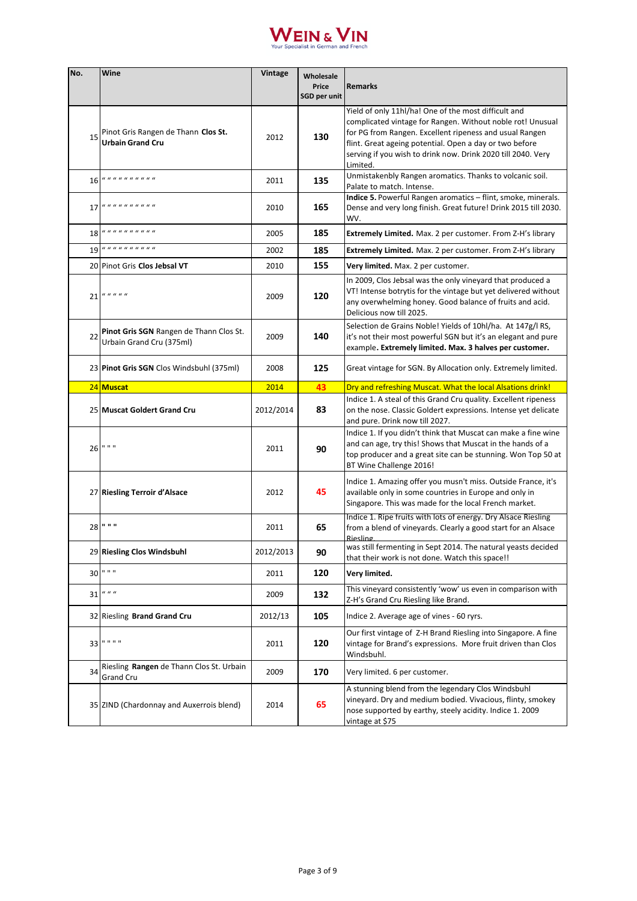

| No. | Wine                                                                       | <b>Vintage</b> | Wholesale<br>Price<br>SGD per unit | <b>Remarks</b>                                                                                                                                                                                                                                                                                                       |
|-----|----------------------------------------------------------------------------|----------------|------------------------------------|----------------------------------------------------------------------------------------------------------------------------------------------------------------------------------------------------------------------------------------------------------------------------------------------------------------------|
| 15  | Pinot Gris Rangen de Thann Clos St.<br><b>Urbain Grand Cru</b>             | 2012           | 130                                | Yield of only 11hl/ha! One of the most difficult and<br>complicated vintage for Rangen. Without noble rot! Unusual<br>for PG from Rangen. Excellent ripeness and usual Rangen<br>flint. Great ageing potential. Open a day or two before<br>serving if you wish to drink now. Drink 2020 till 2040. Very<br>Limited. |
|     | 16 <i>.</i>                                                                | 2011           | 135                                | Unmistakenbly Rangen aromatics. Thanks to volcanic soil.<br>Palate to match. Intense.                                                                                                                                                                                                                                |
| 17  | <i></i>                                                                    | 2010           | 165                                | Indice 5. Powerful Rangen aromatics - flint, smoke, minerals.<br>Dense and very long finish. Great future! Drink 2015 till 2030.<br>WV.                                                                                                                                                                              |
|     | 18 <i>.</i>                                                                | 2005           | 185                                | <b>Extremely Limited.</b> Max. 2 per customer. From Z-H's library                                                                                                                                                                                                                                                    |
| 19  | <i>.</i>                                                                   | 2002           | 185                                | <b>Extremely Limited.</b> Max. 2 per customer. From Z-H's library                                                                                                                                                                                                                                                    |
|     | 20 Pinot Gris Clos Jebsal VT                                               | 2010           | 155                                | Very limited. Max. 2 per customer.                                                                                                                                                                                                                                                                                   |
|     | $21$ $\frac{u}{u}$ $\frac{u}{u}$ $\frac{u}{u}$                             | 2009           | 120                                | In 2009, Clos Jebsal was the only vineyard that produced a<br>VT! Intense botrytis for the vintage but yet delivered without<br>any overwhelming honey. Good balance of fruits and acid.<br>Delicious now till 2025.                                                                                                 |
| 22  | <b>Pinot Gris SGN</b> Rangen de Thann Clos St.<br>Urbain Grand Cru (375ml) | 2009           | 140                                | Selection de Grains Noble! Yields of 10hl/ha. At 147g/l RS,<br>it's not their most powerful SGN but it's an elegant and pure<br>example. Extremely limited. Max. 3 halves per customer.                                                                                                                              |
|     | 23 Pinot Gris SGN Clos Windsbuhl (375ml)                                   | 2008           | 125                                | Great vintage for SGN. By Allocation only. Extremely limited.                                                                                                                                                                                                                                                        |
|     | 24 Muscat                                                                  | 2014           | 43                                 | Dry and refreshing Muscat. What the local Alsations drink!                                                                                                                                                                                                                                                           |
|     | 25 Muscat Goldert Grand Cru                                                | 2012/2014      | 83                                 | Indice 1. A steal of this Grand Cru quality. Excellent ripeness<br>on the nose. Classic Goldert expressions. Intense yet delicate<br>and pure. Drink now till 2027.                                                                                                                                                  |
|     | 26 " " "                                                                   | 2011           | 90                                 | Indice 1. If you didn't think that Muscat can make a fine wine<br>and can age, try this! Shows that Muscat in the hands of a<br>top producer and a great site can be stunning. Won Top 50 at<br>BT Wine Challenge 2016!                                                                                              |
|     | 27 Riesling Terroir d'Alsace                                               | 2012           | 45                                 | Indice 1. Amazing offer you musn't miss. Outside France, it's<br>available only in some countries in Europe and only in<br>Singapore. This was made for the local French market.                                                                                                                                     |
|     | 28 " " "                                                                   | 2011           | 65                                 | Indice 1. Ripe fruits with lots of energy. Dry Alsace Riesling<br>from a blend of vineyards. Clearly a good start for an Alsace<br><b>Riesling</b>                                                                                                                                                                   |
|     | 29 Riesling Clos Windsbuhl                                                 | 2012/2013      | 90                                 | was still fermenting in Sept 2014. The natural yeasts decided<br>that their work is not done. Watch this space!!                                                                                                                                                                                                     |
|     | 30 " " "                                                                   | 2011           | 120                                | Very limited.                                                                                                                                                                                                                                                                                                        |
|     | $31$ $\frac{u}{u}$ $\frac{u}{u}$                                           | 2009           | 132                                | This vineyard consistently 'wow' us even in comparison with<br>Z-H's Grand Cru Riesling like Brand.                                                                                                                                                                                                                  |
|     | 32 Riesling Brand Grand Cru                                                | 2012/13        | 105                                | Indice 2. Average age of vines - 60 ryrs.                                                                                                                                                                                                                                                                            |
|     | 33   " " " "                                                               | 2011           | 120                                | Our first vintage of Z-H Brand Riesling into Singapore. A fine<br>vintage for Brand's expressions. More fruit driven than Clos<br>Windsbuhl.                                                                                                                                                                         |
| 34  | Riesling Rangen de Thann Clos St. Urbain<br>Grand Cru                      | 2009           | 170                                | Very limited. 6 per customer.                                                                                                                                                                                                                                                                                        |
|     | 35 ZIND (Chardonnay and Auxerrois blend)                                   | 2014           | 65                                 | A stunning blend from the legendary Clos Windsbuhl<br>vineyard. Dry and medium bodied. Vivacious, flinty, smokey<br>nose supported by earthy, steely acidity. Indice 1. 2009<br>vintage at \$75                                                                                                                      |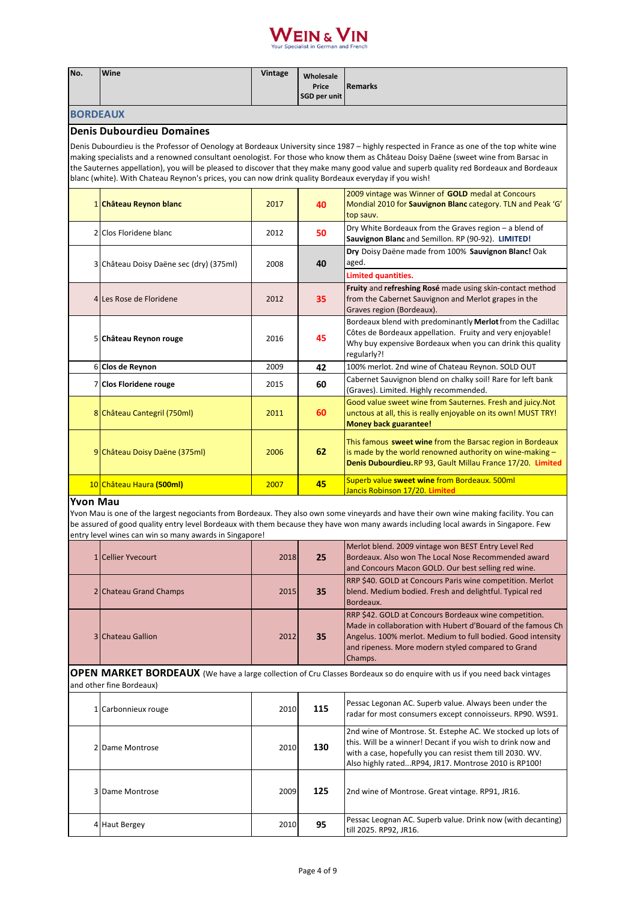

| No.                                                                                                                                                                                                                                                                                               | Wine                                                                                                  | Vintage | Wholesale<br>Price<br><b>SGD per unit</b> | <b>Remarks</b>                                                                                                                                                                                                                                                                                                                                                                                                             |  |
|---------------------------------------------------------------------------------------------------------------------------------------------------------------------------------------------------------------------------------------------------------------------------------------------------|-------------------------------------------------------------------------------------------------------|---------|-------------------------------------------|----------------------------------------------------------------------------------------------------------------------------------------------------------------------------------------------------------------------------------------------------------------------------------------------------------------------------------------------------------------------------------------------------------------------------|--|
| <b>BORDEAUX</b>                                                                                                                                                                                                                                                                                   |                                                                                                       |         |                                           |                                                                                                                                                                                                                                                                                                                                                                                                                            |  |
|                                                                                                                                                                                                                                                                                                   | <b>Denis Dubourdieu Domaines</b>                                                                      |         |                                           |                                                                                                                                                                                                                                                                                                                                                                                                                            |  |
|                                                                                                                                                                                                                                                                                                   | blanc (white). With Chateau Reynon's prices, you can now drink quality Bordeaux everyday if you wish! |         |                                           | Denis Dubourdieu is the Professor of Oenology at Bordeaux University since 1987 - highly respected in France as one of the top white wine<br>making specialists and a renowned consultant oenologist. For those who know them as Château Doisy Daëne (sweet wine from Barsac in<br>the Sauternes appellation), you will be pleased to discover that they make many good value and superb quality red Bordeaux and Bordeaux |  |
|                                                                                                                                                                                                                                                                                                   | 1 Château Reynon blanc                                                                                | 2017    | 40                                        | 2009 vintage was Winner of GOLD medal at Concours<br>Mondial 2010 for Sauvignon Blanc category. TLN and Peak 'G'<br>top sauv.                                                                                                                                                                                                                                                                                              |  |
|                                                                                                                                                                                                                                                                                                   | 2 Clos Floridene blanc                                                                                | 2012    | 50                                        | Dry White Bordeaux from the Graves region - a blend of<br>Sauvignon Blanc and Semillon. RP (90-92). LIMITED!                                                                                                                                                                                                                                                                                                               |  |
|                                                                                                                                                                                                                                                                                                   | Château Doisy Daëne sec (dry) (375ml)                                                                 | 2008    | 40                                        | Dry Doisy Daëne made from 100% Sauvignon Blanc! Oak<br>aged.                                                                                                                                                                                                                                                                                                                                                               |  |
|                                                                                                                                                                                                                                                                                                   |                                                                                                       |         |                                           | Limited quantities.                                                                                                                                                                                                                                                                                                                                                                                                        |  |
|                                                                                                                                                                                                                                                                                                   | 4 Les Rose de Floridene                                                                               | 2012    | 35                                        | Fruity and refreshing Rosé made using skin-contact method<br>from the Cabernet Sauvignon and Merlot grapes in the<br>Graves region (Bordeaux).                                                                                                                                                                                                                                                                             |  |
|                                                                                                                                                                                                                                                                                                   | 5 Château Reynon rouge                                                                                | 2016    | 45                                        | Bordeaux blend with predominantly Merlot from the Cadillac<br>Côtes de Bordeaux appellation. Fruity and very enjoyable!<br>Why buy expensive Bordeaux when you can drink this quality<br>regularly?!                                                                                                                                                                                                                       |  |
|                                                                                                                                                                                                                                                                                                   | 6 Clos de Reynon                                                                                      | 2009    | 42                                        | 100% merlot. 2nd wine of Chateau Reynon. SOLD OUT                                                                                                                                                                                                                                                                                                                                                                          |  |
|                                                                                                                                                                                                                                                                                                   | 7 Clos Floridene rouge                                                                                | 2015    | 60                                        | Cabernet Sauvignon blend on chalky soil! Rare for left bank<br>(Graves). Limited. Highly recommended.                                                                                                                                                                                                                                                                                                                      |  |
|                                                                                                                                                                                                                                                                                                   | 8 Château Cantegril (750ml)                                                                           | 2011    | 60                                        | Good value sweet wine from Sauternes. Fresh and juicy. Not<br>unctous at all, this is really enjoyable on its own! MUST TRY!<br><b>Money back guarantee!</b>                                                                                                                                                                                                                                                               |  |
|                                                                                                                                                                                                                                                                                                   | 9 Château Doisy Daëne (375ml)                                                                         | 2006    | 62                                        | This famous sweet wine from the Barsac region in Bordeaux<br>is made by the world renowned authority on wine-making $-$<br>Denis Dubourdieu.RP 93, Gault Millau France 17/20. Limited                                                                                                                                                                                                                                      |  |
|                                                                                                                                                                                                                                                                                                   | 10 Château Haura (500ml)                                                                              | 2007    | 45                                        | Superb value sweet wine from Bordeaux. 500ml<br>Jancis Robinson 17/20. Limited                                                                                                                                                                                                                                                                                                                                             |  |
| <b>Yvon Mau</b><br>Yvon Mau is one of the largest negociants from Bordeaux. They also own some vineyards and have their own wine making facility. You can<br>be assured of good quality entry level Bordeaux with them because they have won many awards including local awards in Singapore. Few |                                                                                                       |         |                                           |                                                                                                                                                                                                                                                                                                                                                                                                                            |  |

| entry level wines can win so many awards in Singapore! |      |    |                                                                                                                                                                                                                                                      |  |  |
|--------------------------------------------------------|------|----|------------------------------------------------------------------------------------------------------------------------------------------------------------------------------------------------------------------------------------------------------|--|--|
| 1 Cellier Yvecourt                                     | 2018 | 25 | Merlot blend. 2009 vintage won BEST Entry Level Red<br>Bordeaux. Also won The Local Nose Recommended award<br>and Concours Macon GOLD. Our best selling red wine.                                                                                    |  |  |
| 2 Chateau Grand Champs                                 | 2015 | 35 | <b>RRP \$40. GOLD at Concours Paris wine competition. Merlot</b><br>blend. Medium bodied. Fresh and delightful. Typical red<br>Bordeaux.                                                                                                             |  |  |
| <b>3 Chateau Gallion</b>                               | 2012 | 35 | RRP \$42. GOLD at Concours Bordeaux wine competition.<br>Made in collaboration with Hubert d'Bouard of the famous Ch<br>Angelus. 100% merlot. Medium to full bodied. Good intensity<br>and ripeness. More modern styled compared to Grand<br>Champs. |  |  |

**OPEN MARKET BORDEAUX** (We have a large collection of Cru Classes Bordeaux so do enquire with us if you need back vintages and other fine Bordeaux)

| 1 Carbonnieux rouge | 2010 | 115 | Pessac Legonan AC. Superb value. Always been under the<br>radar for most consumers except connoisseurs. RP90. WS91.                                                                                                                             |
|---------------------|------|-----|-------------------------------------------------------------------------------------------------------------------------------------------------------------------------------------------------------------------------------------------------|
| 2 Dame Montrose     | 2010 | 130 | 2nd wine of Montrose. St. Estephe AC. We stocked up lots of<br>this. Will be a winner! Decant if you wish to drink now and<br>with a case, hopefully you can resist them till 2030. WV.<br>Also highly ratedRP94, JR17. Montrose 2010 is RP100! |
| 3 Dame Montrose     | 2009 | 125 | 2nd wine of Montrose. Great vintage. RP91, JR16.                                                                                                                                                                                                |
| 4 Haut Bergey       | 2010 | 95  | Pessac Leognan AC. Superb value. Drink now (with decanting)<br>till 2025. RP92. JR16.                                                                                                                                                           |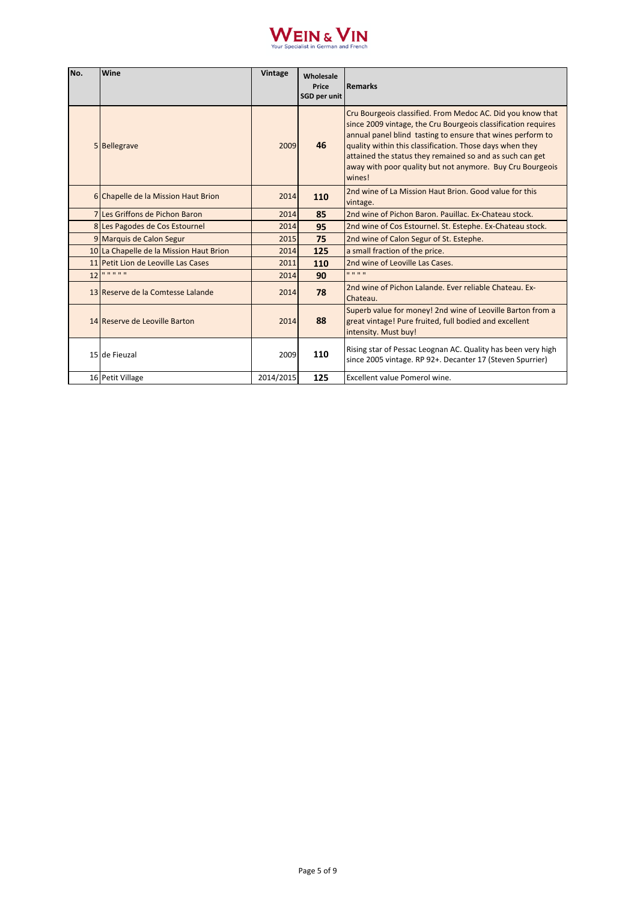

| No. | Wine                                    | Vintage   | Wholesale<br>Price<br><b>SGD per unit</b> | <b>Remarks</b>                                                                                                                                                                                                                                                                                                                                                                           |
|-----|-----------------------------------------|-----------|-------------------------------------------|------------------------------------------------------------------------------------------------------------------------------------------------------------------------------------------------------------------------------------------------------------------------------------------------------------------------------------------------------------------------------------------|
|     | 5 Bellegrave                            | 2009      | 46                                        | Cru Bourgeois classified. From Medoc AC. Did you know that<br>since 2009 vintage, the Cru Bourgeois classification requires<br>annual panel blind tasting to ensure that wines perform to<br>quality within this classification. Those days when they<br>attained the status they remained so and as such can get<br>away with poor quality but not anymore. Buy Cru Bourgeois<br>wines! |
|     | 6 Chapelle de la Mission Haut Brion     | 2014      | 110                                       | 2nd wine of La Mission Haut Brion. Good value for this<br>vintage.                                                                                                                                                                                                                                                                                                                       |
|     | 7 Les Griffons de Pichon Baron          | 2014      | 85                                        | 2nd wine of Pichon Baron, Pauillac, Ex-Chateau stock.                                                                                                                                                                                                                                                                                                                                    |
|     | 8 Les Pagodes de Cos Estournel          | 2014      | 95                                        | 2nd wine of Cos Estournel. St. Estephe. Ex-Chateau stock.                                                                                                                                                                                                                                                                                                                                |
|     | 9 Marquis de Calon Segur                | 2015      | 75                                        | 2nd wine of Calon Segur of St. Estephe.                                                                                                                                                                                                                                                                                                                                                  |
|     | 10 La Chapelle de la Mission Haut Brion | 2014      | 125                                       | a small fraction of the price.                                                                                                                                                                                                                                                                                                                                                           |
|     | 11 Petit Lion de Leoville Las Cases     | 2011      | 110                                       | 2nd wine of Leoville Las Cases.                                                                                                                                                                                                                                                                                                                                                          |
| 12  | 000000                                  | 2014      | 90                                        | .                                                                                                                                                                                                                                                                                                                                                                                        |
|     | 13 Reserve de la Comtesse Lalande       | 2014      | 78                                        | 2nd wine of Pichon Lalande. Ever reliable Chateau. Ex-<br>Chateau.                                                                                                                                                                                                                                                                                                                       |
|     | 14 Reserve de Leoville Barton           | 2014      | 88                                        | Superb value for money! 2nd wine of Leoville Barton from a<br>great vintage! Pure fruited, full bodied and excellent<br>intensity. Must buy!                                                                                                                                                                                                                                             |
|     | 15 de Fieuzal                           | 2009      | 110                                       | Rising star of Pessac Leognan AC. Quality has been very high<br>since 2005 vintage. RP 92+. Decanter 17 (Steven Spurrier)                                                                                                                                                                                                                                                                |
|     | 16 Petit Village                        | 2014/2015 | 125                                       | Excellent value Pomerol wine.                                                                                                                                                                                                                                                                                                                                                            |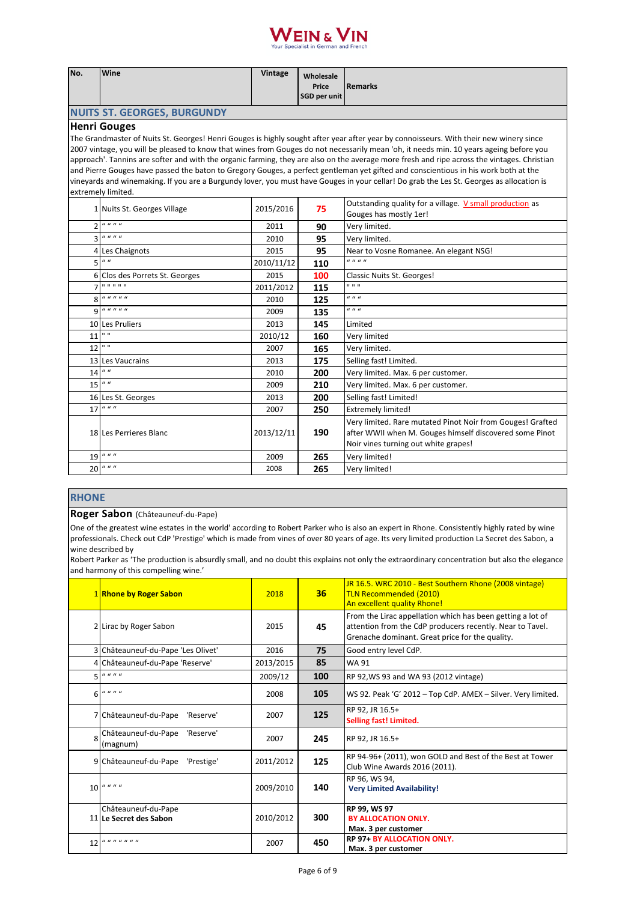# **WEIN & VIN**

| Price<br><b>Remarks</b><br>SGD per unit<br><b>NUITS ST. GEORGES, BURGUNDY</b><br><b>Henri Gouges</b><br>The Grandmaster of Nuits St. Georges! Henri Gouges is highly sought after year after year by connoisseurs. With their new winery since<br>2007 vintage, you will be pleased to know that wines from Gouges do not necessarily mean 'oh, it needs min. 10 years ageing before you<br>approach'. Tannins are softer and with the organic farming, they are also on the average more fresh and ripe across the vintages. Christian<br>and Pierre Gouges have passed the baton to Gregory Gouges, a perfect gentleman yet gifted and conscientious in his work both at the<br>vineyards and winemaking. If you are a Burgundy lover, you must have Gouges in your cellar! Do grab the Les St. Georges as allocation is<br>extremely limited.<br>Outstanding quality for a village. V small production as<br>2015/2016<br>1 Nuits St. Georges Village<br>75<br>Gouges has mostly 1er!<br>$2$ $u$ $u$ $u$ $u$<br>2011<br>Very limited.<br>90<br>$\boldsymbol{u}$ $\boldsymbol{u}$ $\boldsymbol{u}$<br>3<br>2010<br>95<br>Very limited.<br>95<br>2015<br>Near to Vosne Romanee. An elegant NSG!<br>4 Les Chaignots<br><u>.</u><br>$5$ <sup>u</sup><br>2010/11/12<br>110<br>2015<br>Classic Nuits St. Georges!<br>6 Clos des Porrets St. Georges<br>100<br>.<br>0 0 0<br>2011/2012<br>115<br><i></i><br>u u u<br>8<br>125<br>2010<br>u u u<br>$9$ $u$ $u$ $u$ $u$ $u$<br>135<br>2009<br>10 Les Pruliers<br>2013<br>145<br>Limited<br>$\mathbf{u}$ at<br>11<br>2010/12<br>160<br>Very limited<br>$12$ $"$<br>2007<br>Very limited.<br>165<br>13 Les Vaucrains<br>2013<br>175<br>Selling fast! Limited.<br>$\boldsymbol{u}$<br>14<br>2010<br>200<br>Very limited. Max. 6 per customer.<br>$15$ $44$<br>2009<br>210<br>Very limited. Max. 6 per customer.<br>16 Les St. Georges<br>2013<br>200<br>Selling fast! Limited!<br>$\boldsymbol{u}$ $\boldsymbol{u}$ $\boldsymbol{u}$<br>17<br>250<br>2007<br><b>Extremely limited!</b><br>Very limited. Rare mutated Pinot Noir from Gouges! Grafted<br>190<br>after WWII when M. Gouges himself discovered some Pinot<br>2013/12/11<br>18 Les Perrieres Blanc<br>Noir vines turning out white grapes! | No. | Wine | Vintage | Wholesale |  |  |  |
|-----------------------------------------------------------------------------------------------------------------------------------------------------------------------------------------------------------------------------------------------------------------------------------------------------------------------------------------------------------------------------------------------------------------------------------------------------------------------------------------------------------------------------------------------------------------------------------------------------------------------------------------------------------------------------------------------------------------------------------------------------------------------------------------------------------------------------------------------------------------------------------------------------------------------------------------------------------------------------------------------------------------------------------------------------------------------------------------------------------------------------------------------------------------------------------------------------------------------------------------------------------------------------------------------------------------------------------------------------------------------------------------------------------------------------------------------------------------------------------------------------------------------------------------------------------------------------------------------------------------------------------------------------------------------------------------------------------------------------------------------------------------------------------------------------------------------------------------------------------------------------------------------------------------------------------------------------------------------------------------------------------------------------------------------------------------------------------------------------------------------------------------------------------------------------------------------------------------------------------------------|-----|------|---------|-----------|--|--|--|
|                                                                                                                                                                                                                                                                                                                                                                                                                                                                                                                                                                                                                                                                                                                                                                                                                                                                                                                                                                                                                                                                                                                                                                                                                                                                                                                                                                                                                                                                                                                                                                                                                                                                                                                                                                                                                                                                                                                                                                                                                                                                                                                                                                                                                                               |     |      |         |           |  |  |  |
|                                                                                                                                                                                                                                                                                                                                                                                                                                                                                                                                                                                                                                                                                                                                                                                                                                                                                                                                                                                                                                                                                                                                                                                                                                                                                                                                                                                                                                                                                                                                                                                                                                                                                                                                                                                                                                                                                                                                                                                                                                                                                                                                                                                                                                               |     |      |         |           |  |  |  |
|                                                                                                                                                                                                                                                                                                                                                                                                                                                                                                                                                                                                                                                                                                                                                                                                                                                                                                                                                                                                                                                                                                                                                                                                                                                                                                                                                                                                                                                                                                                                                                                                                                                                                                                                                                                                                                                                                                                                                                                                                                                                                                                                                                                                                                               |     |      |         |           |  |  |  |
|                                                                                                                                                                                                                                                                                                                                                                                                                                                                                                                                                                                                                                                                                                                                                                                                                                                                                                                                                                                                                                                                                                                                                                                                                                                                                                                                                                                                                                                                                                                                                                                                                                                                                                                                                                                                                                                                                                                                                                                                                                                                                                                                                                                                                                               |     |      |         |           |  |  |  |
|                                                                                                                                                                                                                                                                                                                                                                                                                                                                                                                                                                                                                                                                                                                                                                                                                                                                                                                                                                                                                                                                                                                                                                                                                                                                                                                                                                                                                                                                                                                                                                                                                                                                                                                                                                                                                                                                                                                                                                                                                                                                                                                                                                                                                                               |     |      |         |           |  |  |  |
|                                                                                                                                                                                                                                                                                                                                                                                                                                                                                                                                                                                                                                                                                                                                                                                                                                                                                                                                                                                                                                                                                                                                                                                                                                                                                                                                                                                                                                                                                                                                                                                                                                                                                                                                                                                                                                                                                                                                                                                                                                                                                                                                                                                                                                               |     |      |         |           |  |  |  |
|                                                                                                                                                                                                                                                                                                                                                                                                                                                                                                                                                                                                                                                                                                                                                                                                                                                                                                                                                                                                                                                                                                                                                                                                                                                                                                                                                                                                                                                                                                                                                                                                                                                                                                                                                                                                                                                                                                                                                                                                                                                                                                                                                                                                                                               |     |      |         |           |  |  |  |
|                                                                                                                                                                                                                                                                                                                                                                                                                                                                                                                                                                                                                                                                                                                                                                                                                                                                                                                                                                                                                                                                                                                                                                                                                                                                                                                                                                                                                                                                                                                                                                                                                                                                                                                                                                                                                                                                                                                                                                                                                                                                                                                                                                                                                                               |     |      |         |           |  |  |  |
|                                                                                                                                                                                                                                                                                                                                                                                                                                                                                                                                                                                                                                                                                                                                                                                                                                                                                                                                                                                                                                                                                                                                                                                                                                                                                                                                                                                                                                                                                                                                                                                                                                                                                                                                                                                                                                                                                                                                                                                                                                                                                                                                                                                                                                               |     |      |         |           |  |  |  |
|                                                                                                                                                                                                                                                                                                                                                                                                                                                                                                                                                                                                                                                                                                                                                                                                                                                                                                                                                                                                                                                                                                                                                                                                                                                                                                                                                                                                                                                                                                                                                                                                                                                                                                                                                                                                                                                                                                                                                                                                                                                                                                                                                                                                                                               |     |      |         |           |  |  |  |
|                                                                                                                                                                                                                                                                                                                                                                                                                                                                                                                                                                                                                                                                                                                                                                                                                                                                                                                                                                                                                                                                                                                                                                                                                                                                                                                                                                                                                                                                                                                                                                                                                                                                                                                                                                                                                                                                                                                                                                                                                                                                                                                                                                                                                                               |     |      |         |           |  |  |  |
|                                                                                                                                                                                                                                                                                                                                                                                                                                                                                                                                                                                                                                                                                                                                                                                                                                                                                                                                                                                                                                                                                                                                                                                                                                                                                                                                                                                                                                                                                                                                                                                                                                                                                                                                                                                                                                                                                                                                                                                                                                                                                                                                                                                                                                               |     |      |         |           |  |  |  |
|                                                                                                                                                                                                                                                                                                                                                                                                                                                                                                                                                                                                                                                                                                                                                                                                                                                                                                                                                                                                                                                                                                                                                                                                                                                                                                                                                                                                                                                                                                                                                                                                                                                                                                                                                                                                                                                                                                                                                                                                                                                                                                                                                                                                                                               |     |      |         |           |  |  |  |
|                                                                                                                                                                                                                                                                                                                                                                                                                                                                                                                                                                                                                                                                                                                                                                                                                                                                                                                                                                                                                                                                                                                                                                                                                                                                                                                                                                                                                                                                                                                                                                                                                                                                                                                                                                                                                                                                                                                                                                                                                                                                                                                                                                                                                                               |     |      |         |           |  |  |  |
|                                                                                                                                                                                                                                                                                                                                                                                                                                                                                                                                                                                                                                                                                                                                                                                                                                                                                                                                                                                                                                                                                                                                                                                                                                                                                                                                                                                                                                                                                                                                                                                                                                                                                                                                                                                                                                                                                                                                                                                                                                                                                                                                                                                                                                               |     |      |         |           |  |  |  |
|                                                                                                                                                                                                                                                                                                                                                                                                                                                                                                                                                                                                                                                                                                                                                                                                                                                                                                                                                                                                                                                                                                                                                                                                                                                                                                                                                                                                                                                                                                                                                                                                                                                                                                                                                                                                                                                                                                                                                                                                                                                                                                                                                                                                                                               |     |      |         |           |  |  |  |
|                                                                                                                                                                                                                                                                                                                                                                                                                                                                                                                                                                                                                                                                                                                                                                                                                                                                                                                                                                                                                                                                                                                                                                                                                                                                                                                                                                                                                                                                                                                                                                                                                                                                                                                                                                                                                                                                                                                                                                                                                                                                                                                                                                                                                                               |     |      |         |           |  |  |  |
|                                                                                                                                                                                                                                                                                                                                                                                                                                                                                                                                                                                                                                                                                                                                                                                                                                                                                                                                                                                                                                                                                                                                                                                                                                                                                                                                                                                                                                                                                                                                                                                                                                                                                                                                                                                                                                                                                                                                                                                                                                                                                                                                                                                                                                               |     |      |         |           |  |  |  |
|                                                                                                                                                                                                                                                                                                                                                                                                                                                                                                                                                                                                                                                                                                                                                                                                                                                                                                                                                                                                                                                                                                                                                                                                                                                                                                                                                                                                                                                                                                                                                                                                                                                                                                                                                                                                                                                                                                                                                                                                                                                                                                                                                                                                                                               |     |      |         |           |  |  |  |
|                                                                                                                                                                                                                                                                                                                                                                                                                                                                                                                                                                                                                                                                                                                                                                                                                                                                                                                                                                                                                                                                                                                                                                                                                                                                                                                                                                                                                                                                                                                                                                                                                                                                                                                                                                                                                                                                                                                                                                                                                                                                                                                                                                                                                                               |     |      |         |           |  |  |  |
|                                                                                                                                                                                                                                                                                                                                                                                                                                                                                                                                                                                                                                                                                                                                                                                                                                                                                                                                                                                                                                                                                                                                                                                                                                                                                                                                                                                                                                                                                                                                                                                                                                                                                                                                                                                                                                                                                                                                                                                                                                                                                                                                                                                                                                               |     |      |         |           |  |  |  |
|                                                                                                                                                                                                                                                                                                                                                                                                                                                                                                                                                                                                                                                                                                                                                                                                                                                                                                                                                                                                                                                                                                                                                                                                                                                                                                                                                                                                                                                                                                                                                                                                                                                                                                                                                                                                                                                                                                                                                                                                                                                                                                                                                                                                                                               |     |      |         |           |  |  |  |
|                                                                                                                                                                                                                                                                                                                                                                                                                                                                                                                                                                                                                                                                                                                                                                                                                                                                                                                                                                                                                                                                                                                                                                                                                                                                                                                                                                                                                                                                                                                                                                                                                                                                                                                                                                                                                                                                                                                                                                                                                                                                                                                                                                                                                                               |     |      |         |           |  |  |  |
|                                                                                                                                                                                                                                                                                                                                                                                                                                                                                                                                                                                                                                                                                                                                                                                                                                                                                                                                                                                                                                                                                                                                                                                                                                                                                                                                                                                                                                                                                                                                                                                                                                                                                                                                                                                                                                                                                                                                                                                                                                                                                                                                                                                                                                               |     |      |         |           |  |  |  |
|                                                                                                                                                                                                                                                                                                                                                                                                                                                                                                                                                                                                                                                                                                                                                                                                                                                                                                                                                                                                                                                                                                                                                                                                                                                                                                                                                                                                                                                                                                                                                                                                                                                                                                                                                                                                                                                                                                                                                                                                                                                                                                                                                                                                                                               |     |      |         |           |  |  |  |
|                                                                                                                                                                                                                                                                                                                                                                                                                                                                                                                                                                                                                                                                                                                                                                                                                                                                                                                                                                                                                                                                                                                                                                                                                                                                                                                                                                                                                                                                                                                                                                                                                                                                                                                                                                                                                                                                                                                                                                                                                                                                                                                                                                                                                                               |     |      |         |           |  |  |  |
|                                                                                                                                                                                                                                                                                                                                                                                                                                                                                                                                                                                                                                                                                                                                                                                                                                                                                                                                                                                                                                                                                                                                                                                                                                                                                                                                                                                                                                                                                                                                                                                                                                                                                                                                                                                                                                                                                                                                                                                                                                                                                                                                                                                                                                               |     |      |         |           |  |  |  |
|                                                                                                                                                                                                                                                                                                                                                                                                                                                                                                                                                                                                                                                                                                                                                                                                                                                                                                                                                                                                                                                                                                                                                                                                                                                                                                                                                                                                                                                                                                                                                                                                                                                                                                                                                                                                                                                                                                                                                                                                                                                                                                                                                                                                                                               |     |      |         |           |  |  |  |
|                                                                                                                                                                                                                                                                                                                                                                                                                                                                                                                                                                                                                                                                                                                                                                                                                                                                                                                                                                                                                                                                                                                                                                                                                                                                                                                                                                                                                                                                                                                                                                                                                                                                                                                                                                                                                                                                                                                                                                                                                                                                                                                                                                                                                                               |     |      |         |           |  |  |  |
|                                                                                                                                                                                                                                                                                                                                                                                                                                                                                                                                                                                                                                                                                                                                                                                                                                                                                                                                                                                                                                                                                                                                                                                                                                                                                                                                                                                                                                                                                                                                                                                                                                                                                                                                                                                                                                                                                                                                                                                                                                                                                                                                                                                                                                               |     |      |         |           |  |  |  |
|                                                                                                                                                                                                                                                                                                                                                                                                                                                                                                                                                                                                                                                                                                                                                                                                                                                                                                                                                                                                                                                                                                                                                                                                                                                                                                                                                                                                                                                                                                                                                                                                                                                                                                                                                                                                                                                                                                                                                                                                                                                                                                                                                                                                                                               |     |      |         |           |  |  |  |
| $19$ " " "<br>2009<br>Very limited!                                                                                                                                                                                                                                                                                                                                                                                                                                                                                                                                                                                                                                                                                                                                                                                                                                                                                                                                                                                                                                                                                                                                                                                                                                                                                                                                                                                                                                                                                                                                                                                                                                                                                                                                                                                                                                                                                                                                                                                                                                                                                                                                                                                                           |     |      |         | 265       |  |  |  |
| $20$ $44$ $44$<br>2008<br>265<br>Very limited!                                                                                                                                                                                                                                                                                                                                                                                                                                                                                                                                                                                                                                                                                                                                                                                                                                                                                                                                                                                                                                                                                                                                                                                                                                                                                                                                                                                                                                                                                                                                                                                                                                                                                                                                                                                                                                                                                                                                                                                                                                                                                                                                                                                                |     |      |         |           |  |  |  |

## **RHONE**

**Roger Sabon** (Châteauneuf-du-Pape)

One of the greatest wine estates in the world' according to Robert Parker who is also an expert in Rhone. Consistently highly rated by wine professionals. Check out CdP 'Prestige' which is made from vines of over 80 years of age. Its very limited production La Secret des Sabon, a wine described by

Robert Parker as 'The production is absurdly small, and no doubt this explains not only the extraordinary concentration but also the elegance and harmony of this compelling wine.'

|    | 1 Rhone by Roger Sabon                                     | 2018      | 36  | JR 16.5. WRC 2010 - Best Southern Rhone (2008 vintage)<br>TLN Recommended (2010)<br>An excellent quality Rhone!                                                            |
|----|------------------------------------------------------------|-----------|-----|----------------------------------------------------------------------------------------------------------------------------------------------------------------------------|
|    | 2 Lirac by Roger Sabon                                     | 2015      | 45  | From the Lirac appellation which has been getting a lot of<br>attention from the CdP producers recently. Near to Tavel.<br>Grenache dominant. Great price for the quality. |
|    | 3 Châteauneuf-du-Pape 'Les Olivet'                         | 2016      | 75  | Good entry level CdP.                                                                                                                                                      |
|    | 4 Châteauneuf-du-Pape 'Reserve'                            | 2013/2015 | 85  | <b>WA 91</b>                                                                                                                                                               |
|    | $\boldsymbol{u}$ $\boldsymbol{u}$ $\boldsymbol{u}$         | 2009/12   | 100 | RP 92, WS 93 and WA 93 (2012 vintage)                                                                                                                                      |
| 6  | $\boldsymbol{u}$ $\boldsymbol{u}$ $\boldsymbol{u}$         | 2008      | 105 | WS 92. Peak 'G' 2012 - Top CdP. AMEX - Silver. Very limited.                                                                                                               |
|    | 7 Châteauneuf-du-Pape<br>'Reserve'                         | 2007      | 125 | RP 92, JR 16.5+<br>Selling fast! Limited.                                                                                                                                  |
| 8  | Châteauneuf-du-Pape 'Reserve'<br>(magnum)                  | 2007      | 245 | RP 92, JR 16.5+                                                                                                                                                            |
|    | 9 Châteauneuf-du-Pape<br>'Prestige'                        | 2011/2012 | 125 | RP 94-96+ (2011), won GOLD and Best of the Best at Tower<br>Club Wine Awards 2016 (2011).                                                                                  |
|    | $10$ $^{\prime\prime\prime\prime\prime\prime\prime\prime}$ | 2009/2010 | 140 | RP 96, WS 94,<br><b>Very Limited Availability!</b>                                                                                                                         |
|    | Châteauneuf-du-Pape<br>11 Le Secret des Sabon              | 2010/2012 | 300 | RP 99, WS 97<br><b>BY ALLOCATION ONLY.</b><br>Max. 3 per customer                                                                                                          |
| 12 |                                                            | 2007      | 450 | <b>RP 97+ BY ALLOCATION ONLY.</b><br>Max. 3 per customer                                                                                                                   |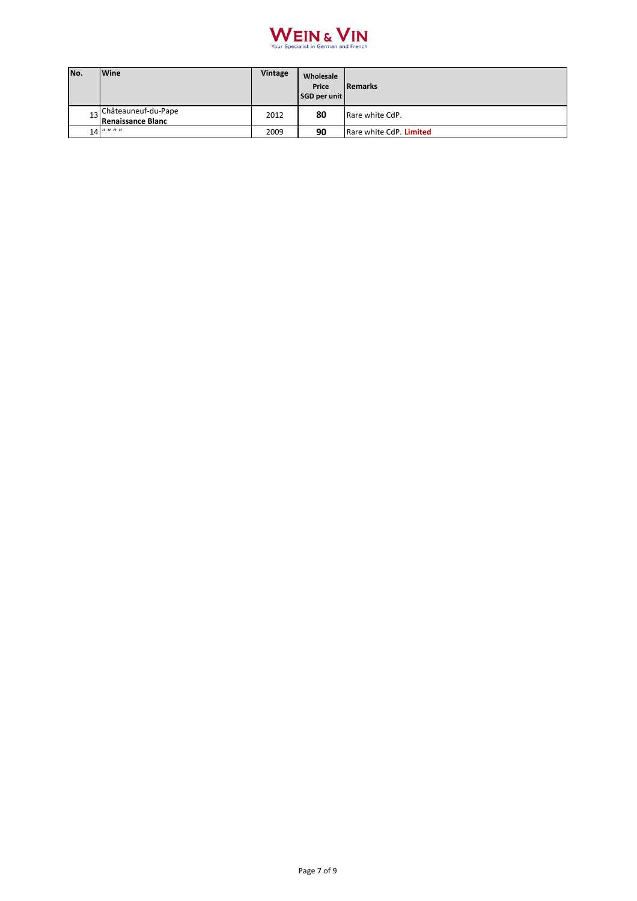

| No. | <b>Wine</b>                                 | Vintage | Wholesale<br>Price<br>SGD per unit | <b>Remarks</b>          |
|-----|---------------------------------------------|---------|------------------------------------|-------------------------|
|     | 13 Châteauneuf-du-Pape<br>Renaissance Blanc | 2012    | 80                                 | Rare white CdP.         |
|     | $14$ " " " "                                | 2009    | 90                                 | Rare white CdP. Limited |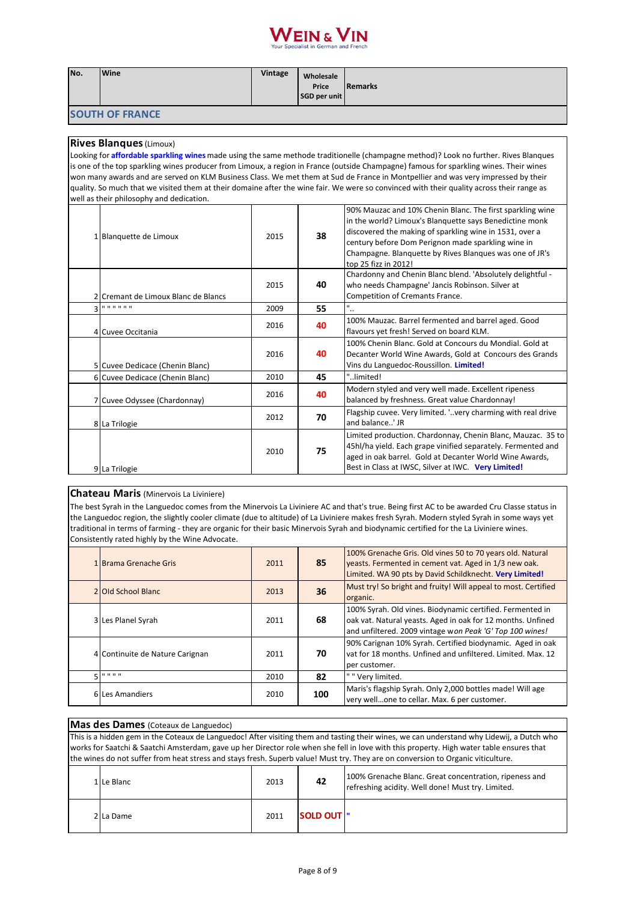# VEIN & VIN

| No. | Wine                                     | <b>Vintage</b> | Wholesale<br>Price<br>SGD per unit | <b>Remarks</b>                                                                                                                                                                                                                                                                                                           |
|-----|------------------------------------------|----------------|------------------------------------|--------------------------------------------------------------------------------------------------------------------------------------------------------------------------------------------------------------------------------------------------------------------------------------------------------------------------|
|     | <b>SOUTH OF FRANCE</b>                   |                |                                    |                                                                                                                                                                                                                                                                                                                          |
|     | <b>Rives Blanques (Limoux)</b>           |                |                                    |                                                                                                                                                                                                                                                                                                                          |
|     |                                          |                |                                    | Looking for affordable sparkling wines made using the same methode traditionelle (champagne method)? Look no further. Rives Blanques                                                                                                                                                                                     |
|     |                                          |                |                                    | is one of the top sparkling wines producer from Limoux, a region in France (outside Champagne) famous for sparkling wines. Their wines                                                                                                                                                                                   |
|     |                                          |                |                                    | won many awards and are served on KLM Business Class. We met them at Sud de France in Montpellier and was very impressed by their                                                                                                                                                                                        |
|     |                                          |                |                                    | quality. So much that we visited them at their domaine after the wine fair. We were so convinced with their quality across their range as                                                                                                                                                                                |
|     | well as their philosophy and dedication. |                |                                    |                                                                                                                                                                                                                                                                                                                          |
|     | 1 Blanquette de Limoux                   | 2015           | 38                                 | 90% Mauzac and 10% Chenin Blanc. The first sparkling wine<br>in the world? Limoux's Blanquette says Benedictine monk<br>discovered the making of sparkling wine in 1531, over a<br>century before Dom Perignon made sparkling wine in<br>Champagne. Blanguette by Rives Blangues was one of JR's<br>top 25 fizz in 2012! |
|     | 2 Cremant de Limoux Blanc de Blancs      | 2015           | 40                                 | Chardonny and Chenin Blanc blend. 'Absolutely delightful -<br>who needs Champagne' Jancis Robinson. Silver at<br>Competition of Cremants France.                                                                                                                                                                         |
| 3   | .                                        | 2009           | 55                                 | ٠.                                                                                                                                                                                                                                                                                                                       |
|     | 4 Cuvee Occitania                        | 2016           | 40                                 | 100% Mauzac. Barrel fermented and barrel aged. Good<br>flavours yet fresh! Served on board KLM.                                                                                                                                                                                                                          |
|     | 5 Cuvee Dedicace (Chenin Blanc)          | 2016           | 40                                 | 100% Chenin Blanc, Gold at Concours du Mondial, Gold at<br>Decanter World Wine Awards, Gold at Concours des Grands<br>Vins du Languedoc-Roussillon. Limited!                                                                                                                                                             |
|     | 6 Cuvee Dedicace (Chenin Blanc)          | 2010           | 45                                 | "limited!                                                                                                                                                                                                                                                                                                                |
|     | 7 Cuvee Odyssee (Chardonnay)             | 2016           | 40                                 | Modern styled and very well made. Excellent ripeness<br>balanced by freshness. Great value Chardonnay!                                                                                                                                                                                                                   |
|     | 8 La Trilogie                            | 2012           | 70                                 | Flagship cuvee. Very limited. ' very charming with real drive<br>and balance' JR                                                                                                                                                                                                                                         |
|     | 9 La Trilogie                            | 2010           | 75                                 | Limited production. Chardonnay, Chenin Blanc, Mauzac. 35 to<br>45hl/ha yield. Each grape vinified separately. Fermented and<br>aged in oak barrel. Gold at Decanter World Wine Awards,<br>Best in Class at IWSC, Silver at IWC. Very Limited!                                                                            |

# **Chateau Maris** (Minervois La Liviniere)

The best Syrah in the Languedoc comes from the Minervois La Liviniere AC and that's true. Being first AC to be awarded Cru Classe status in the Languedoc region, the slightly cooler climate (due to altitude) of La Liviniere makes fresh Syrah. Modern styled Syrah in some ways yet traditional in terms of farming - they are organic for their basic Minervois Syrah and biodynamic certified for the La Liviniere wines. Consistently rated highly by the Wine Advocate.

| 1 Brama Grenache Gris           | 2011 | 85  | 100% Grenache Gris. Old vines 50 to 70 years old. Natural<br>yeasts. Fermented in cement vat. Aged in 1/3 new oak.<br>Limited. WA 90 pts by David Schildknecht. Very Limited!        |
|---------------------------------|------|-----|--------------------------------------------------------------------------------------------------------------------------------------------------------------------------------------|
| 2 Old School Blanc              | 2013 | 36  | Must try! So bright and fruity! Will appeal to most. Certified<br>organic.                                                                                                           |
| 3 Les Planel Syrah              | 2011 | 68  | 100% Syrah. Old vines. Biodynamic certified. Fermented in<br>oak vat. Natural yeasts. Aged in oak for 12 months. Unfined<br>and unfiltered. 2009 vintage won Peak 'G' Top 100 wines! |
| 4 Continuite de Nature Carignan | 2011 | 70  | 90% Carignan 10% Syrah. Certified biodynamic. Aged in oak<br>vat for 18 months. Unfined and unfiltered. Limited. Max. 12<br>per customer.                                            |
| $E = 10000000$                  | 2010 | 82  | " " Very limited.                                                                                                                                                                    |
| 6 Les Amandiers                 | 2010 | 100 | Maris's flagship Syrah. Only 2,000 bottles made! Will age<br>very wellone to cellar. Max. 6 per customer.                                                                            |

### **Mas des Dames** (Coteaux de Languedoc)

This is a hidden gem in the Coteaux de Languedoc! After visiting them and tasting their wines, we can understand why Lidewij, a Dutch who works for Saatchi & Saatchi Amsterdam, gave up her Director role when she fell in love with this property. High water table ensures that the wines do not suffer from heat stress and stays fresh. Superb value! Must try. They are on conversion to Organic viticulture.

| 1 Le Blanc | 2013 | 42                 | 100% Grenache Blanc. Great concentration, ripeness and<br>refreshing acidity. Well done! Must try. Limited. |
|------------|------|--------------------|-------------------------------------------------------------------------------------------------------------|
| 2 La Dame  | 2011 | <b>SOLD OUT !"</b> |                                                                                                             |